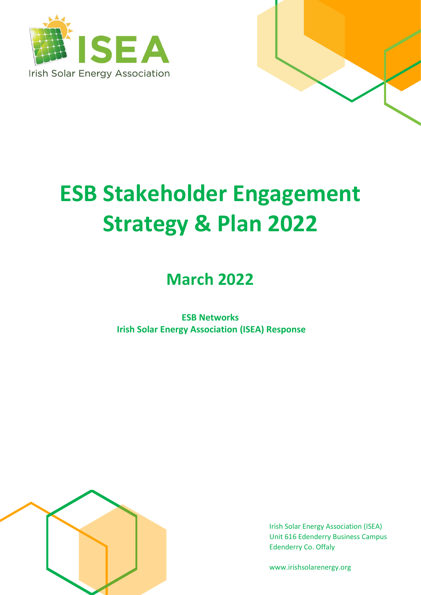



# **ESB Stakeholder Engagement Strategy & Plan 2022**

# **March 2022**

**ESB Networks Irish Solar Energy Association (ISEA) Response**



Irish Solar Energy Association (ISEA) Unit 616 Edenderry Business Campus Edenderry Co. Offaly

www.irishsolarenergy.org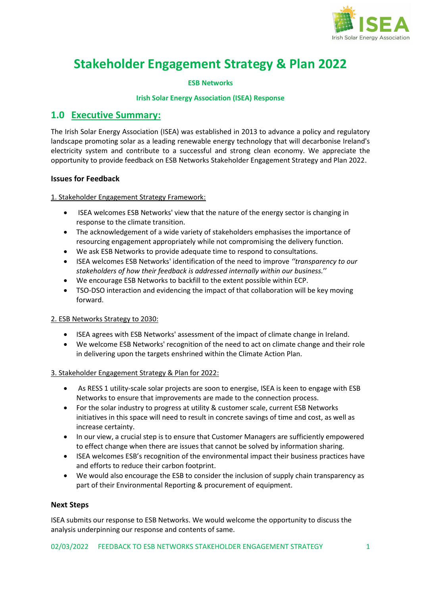

## **Stakeholder Engagement Strategy & Plan 2022**

## **ESB Networks**

#### **Irish Solar Energy Association (ISEA) Response**

## **1.0 Executive Summary:**

The Irish Solar Energy Association (ISEA) was established in 2013 to advance a policy and regulatory landscape promoting solar as a leading renewable energy technology that will decarbonise Ireland's electricity system and contribute to a successful and strong clean economy. We appreciate the opportunity to provide feedback on ESB Networks Stakeholder Engagement Strategy and Plan 2022.

## **Issues for Feedback**

1. Stakeholder Engagement Strategy Framework:

- ISEA welcomes ESB Networks' view that the nature of the energy sector is changing in response to the climate transition.
- The acknowledgement of a wide variety of stakeholders emphasises the importance of resourcing engagement appropriately while not compromising the delivery function.
- We ask ESB Networks to provide adequate time to respond to consultations.
- ISEA welcomes ESB Networks' identification of the need to improve *''transparency to our stakeholders of how their feedback is addressed internally within our business.*''
- We encourage ESB Networks to backfill to the extent possible within ECP.
- TSO-DSO interaction and evidencing the impact of that collaboration will be key moving forward.

#### 2. ESB Networks Strategy to 2030:

- ISEA agrees with ESB Networks' assessment of the impact of climate change in Ireland.
- We welcome ESB Networks' recognition of the need to act on climate change and their role in delivering upon the targets enshrined within the Climate Action Plan.

#### 3. Stakeholder Engagement Strategy & Plan for 2022:

- As RESS 1 utility-scale solar projects are soon to energise, ISEA is keen to engage with ESB Networks to ensure that improvements are made to the connection process.
- For the solar industry to progress at utility & customer scale, current ESB Networks initiatives in this space will need to result in concrete savings of time and cost, as well as increase certainty.
- In our view, a crucial step is to ensure that Customer Managers are sufficiently empowered to effect change when there are issues that cannot be solved by information sharing.
- ISEA welcomes ESB's recognition of the environmental impact their business practices have and efforts to reduce their carbon footprint.
- We would also encourage the ESB to consider the inclusion of supply chain transparency as part of their Environmental Reporting & procurement of equipment.

#### **Next Steps**

ISEA submits our response to ESB Networks. We would welcome the opportunity to discuss the analysis underpinning our response and contents of same.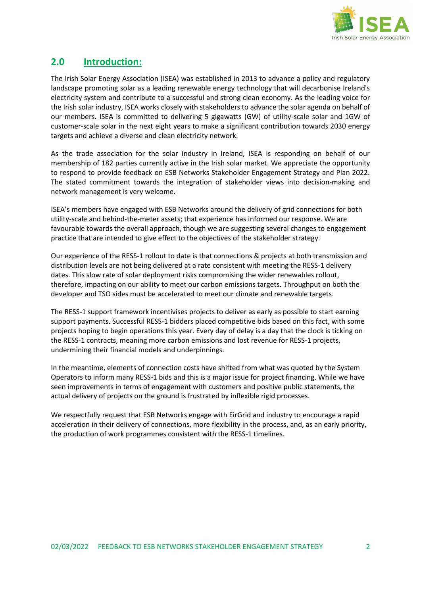

## **2.0 Introduction:**

The Irish Solar Energy Association (ISEA) was established in 2013 to advance a policy and regulatory landscape promoting solar as a leading renewable energy technology that will decarbonise Ireland's electricity system and contribute to a successful and strong clean economy. As the leading voice for the Irish solar industry, ISEA works closely with stakeholders to advance the solar agenda on behalf of our members. ISEA is committed to delivering 5 gigawatts (GW) of utility-scale solar and 1GW of customer-scale solar in the next eight years to make a significant contribution towards 2030 energy targets and achieve a diverse and clean electricity network.

As the trade association for the solar industry in Ireland, ISEA is responding on behalf of our membership of 182 parties currently active in the Irish solar market. We appreciate the opportunity to respond to provide feedback on ESB Networks Stakeholder Engagement Strategy and Plan 2022. The stated commitment towards the integration of stakeholder views into decision-making and network management is very welcome.

ISEA's members have engaged with ESB Networks around the delivery of grid connections for both utility-scale and behind-the-meter assets; that experience has informed our response. We are favourable towards the overall approach, though we are suggesting several changes to engagement practice that are intended to give effect to the objectives of the stakeholder strategy.

Our experience of the RESS-1 rollout to date is that connections & projects at both transmission and distribution levels are not being delivered at a rate consistent with meeting the RESS-1 delivery dates. This slow rate of solar deployment risks compromising the wider renewables rollout, therefore, impacting on our ability to meet our carbon emissions targets. Throughput on both the developer and TSO sides must be accelerated to meet our climate and renewable targets.

The RESS-1 support framework incentivises projects to deliver as early as possible to start earning support payments. Successful RESS-1 bidders placed competitive bids based on this fact, with some projects hoping to begin operations this year. Every day of delay is a day that the clock is ticking on the RESS-1 contracts, meaning more carbon emissions and lost revenue for RESS-1 projects, undermining their financial models and underpinnings.

In the meantime, elements of connection costs have shifted from what was quoted by the System Operators to inform many RESS-1 bids and this is a major issue for project financing. While we have seen improvements in terms of engagement with customers and positive public statements, the actual delivery of projects on the ground is frustrated by inflexible rigid processes.

We respectfully request that ESB Networks engage with EirGrid and industry to encourage a rapid acceleration in their delivery of connections, more flexibility in the process, and, as an early priority, the production of work programmes consistent with the RESS-1 timelines.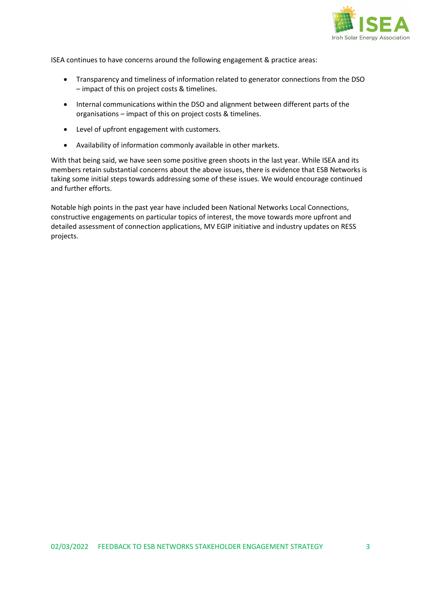

ISEA continues to have concerns around the following engagement & practice areas:

- Transparency and timeliness of information related to generator connections from the DSO – impact of this on project costs & timelines.
- Internal communications within the DSO and alignment between different parts of the organisations – impact of this on project costs & timelines.
- Level of upfront engagement with customers.
- Availability of information commonly available in other markets.

With that being said, we have seen some positive green shoots in the last year. While ISEA and its members retain substantial concerns about the above issues, there is evidence that ESB Networks is taking some initial steps towards addressing some of these issues. We would encourage continued and further efforts.

Notable high points in the past year have included been National Networks Local Connections, constructive engagements on particular topics of interest, the move towards more upfront and detailed assessment of connection applications, MV EGIP initiative and industry updates on RESS projects.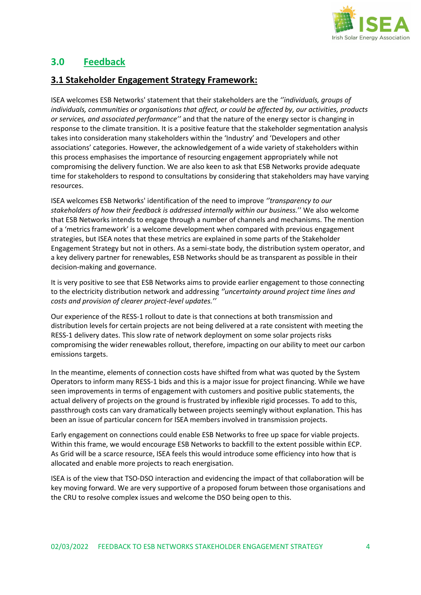

## **3.0 Feedback**

## **3.1 Stakeholder Engagement Strategy Framework:**

ISEA welcomes ESB Networks' statement that their stakeholders are the *''individuals, groups of individuals, communities or organisations that affect, or could be affected by, our activities, products or services, and associated performance''* and that the nature of the energy sector is changing in response to the climate transition. It is a positive feature that the stakeholder segmentation analysis takes into consideration many stakeholders within the 'Industry' and 'Developers and other associations' categories. However, the acknowledgement of a wide variety of stakeholders within this process emphasises the importance of resourcing engagement appropriately while not compromising the delivery function. We are also keen to ask that ESB Networks provide adequate time for stakeholders to respond to consultations by considering that stakeholders may have varying resources.

ISEA welcomes ESB Networks' identification of the need to improve *''transparency to our stakeholders of how their feedback is addressed internally within our business.*'' We also welcome that ESB Networks intends to engage through a number of channels and mechanisms. The mention of a 'metrics framework' is a welcome development when compared with previous engagement strategies, but ISEA notes that these metrics are explained in some parts of the Stakeholder Engagement Strategy but not in others. As a semi-state body, the distribution system operator, and a key delivery partner for renewables, ESB Networks should be as transparent as possible in their decision-making and governance.

It is very positive to see that ESB Networks aims to provide earlier engagement to those connecting to the electricity distribution network and addressing *''uncertainty around project time lines and costs and provision of clearer project-level updates.''*

Our experience of the RESS-1 rollout to date is that connections at both transmission and distribution levels for certain projects are not being delivered at a rate consistent with meeting the RESS-1 delivery dates. This slow rate of network deployment on some solar projects risks compromising the wider renewables rollout, therefore, impacting on our ability to meet our carbon emissions targets.

In the meantime, elements of connection costs have shifted from what was quoted by the System Operators to inform many RESS-1 bids and this is a major issue for project financing. While we have seen improvements in terms of engagement with customers and positive public statements, the actual delivery of projects on the ground is frustrated by inflexible rigid processes. To add to this, passthrough costs can vary dramatically between projects seemingly without explanation. This has been an issue of particular concern for ISEA members involved in transmission projects.

Early engagement on connections could enable ESB Networks to free up space for viable projects. Within this frame, we would encourage ESB Networks to backfill to the extent possible within ECP. As Grid will be a scarce resource, ISEA feels this would introduce some efficiency into how that is allocated and enable more projects to reach energisation.

ISEA is of the view that TSO-DSO interaction and evidencing the impact of that collaboration will be key moving forward. We are very supportive of a proposed forum between those organisations and the CRU to resolve complex issues and welcome the DSO being open to this.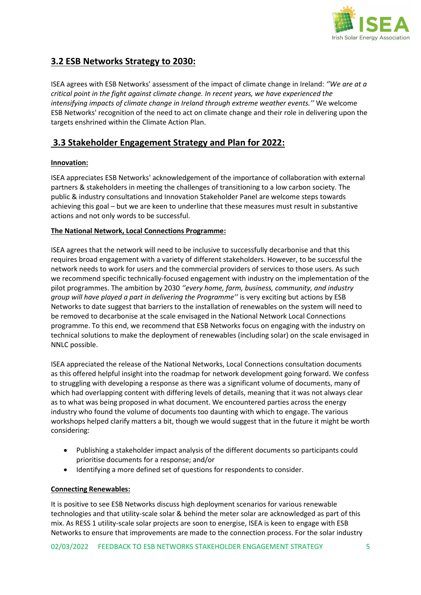

## **3.2 ESB Networks Strategy to 2030:**

ISEA agrees with ESB Networks' assessment of the impact of climate change in Ireland: *''We are at a critical point in the fight against climate change. In recent years, we have experienced the intensifying impacts of climate change in Ireland through extreme weather events.''* We welcome ESB Networks' recognition of the need to act on climate change and their role in delivering upon the targets enshrined within the Climate Action Plan.

## **3.3 Stakeholder Engagement Strategy and Plan for 2022:**

## **Innovation:**

ISEA appreciates ESB Networks' acknowledgement of the importance of collaboration with external partners & stakeholders in meeting the challenges of transitioning to a low carbon society. The public & industry consultations and Innovation Stakeholder Panel are welcome steps towards achieving this goal – but we are keen to underline that these measures must result in substantive actions and not only words to be successful.

## **The National Network, Local Connections Programme:**

ISEA agrees that the network will need to be inclusive to successfully decarbonise and that this requires broad engagement with a variety of different stakeholders. However, to be successful the network needs to work for users and the commercial providers of services to those users. As such we recommend specific technically-focused engagement with industry on the implementation of the pilot programmes. The ambition by 2030 *''every home, farm, business, community, and industry group will have played a part in delivering the Programme''* is very exciting but actions by ESB Networks to date suggest that barriers to the installation of renewables on the system will need to be removed to decarbonise at the scale envisaged in the National Network Local Connections programme. To this end, we recommend that ESB Networks focus on engaging with the industry on technical solutions to make the deployment of renewables (including solar) on the scale envisaged in NNLC possible.

ISEA appreciated the release of the National Networks, Local Connections consultation documents as this offered helpful insight into the roadmap for network development going forward. We confess to struggling with developing a response as there was a significant volume of documents, many of which had overlapping content with differing levels of details, meaning that it was not always clear as to what was being proposed in what document. We encountered parties across the energy industry who found the volume of documents too daunting with which to engage. The various workshops helped clarify matters a bit, though we would suggest that in the future it might be worth considering:

- Publishing a stakeholder impact analysis of the different documents so participants could prioritise documents for a response; and/or
- Identifying a more defined set of questions for respondents to consider.

#### **Connecting Renewables:**

It is positive to see ESB Networks discuss high deployment scenarios for various renewable technologies and that utility-scale solar & behind the meter solar are acknowledged as part of this mix. As RESS 1 utility-scale solar projects are soon to energise, ISEA is keen to engage with ESB Networks to ensure that improvements are made to the connection process. For the solar industry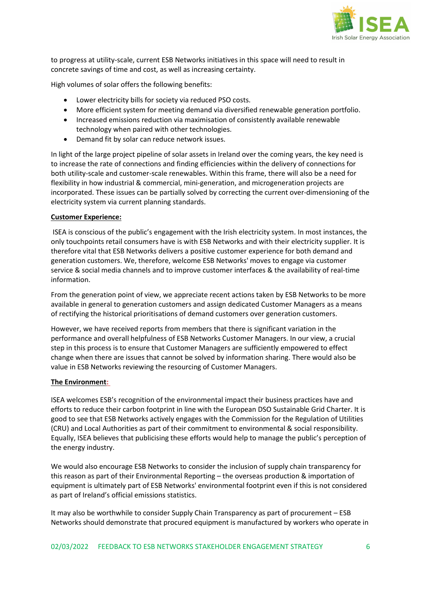

to progress at utility-scale, current ESB Networks initiatives in this space will need to result in concrete savings of time and cost, as well as increasing certainty.

High volumes of solar offers the following benefits:

- Lower electricity bills for society via reduced PSO costs.
- More efficient system for meeting demand via diversified renewable generation portfolio.
- Increased emissions reduction via maximisation of consistently available renewable technology when paired with other technologies.
- Demand fit by solar can reduce network issues.

In light of the large project pipeline of solar assets in Ireland over the coming years, the key need is to increase the rate of connections and finding efficiencies within the delivery of connections for both utility-scale and customer-scale renewables. Within this frame, there will also be a need for flexibility in how industrial & commercial, mini-generation, and microgeneration projects are incorporated. These issues can be partially solved by correcting the current over-dimensioning of the electricity system via current planning standards.

#### **Customer Experience:**

ISEA is conscious of the public's engagement with the Irish electricity system. In most instances, the only touchpoints retail consumers have is with ESB Networks and with their electricity supplier. It is therefore vital that ESB Networks delivers a positive customer experience for both demand and generation customers. We, therefore, welcome ESB Networks' moves to engage via customer service & social media channels and to improve customer interfaces & the availability of real-time information.

From the generation point of view, we appreciate recent actions taken by ESB Networks to be more available in general to generation customers and assign dedicated Customer Managers as a means of rectifying the historical prioritisations of demand customers over generation customers.

However, we have received reports from members that there is significant variation in the performance and overall helpfulness of ESB Networks Customer Managers. In our view, a crucial step in this process is to ensure that Customer Managers are sufficiently empowered to effect change when there are issues that cannot be solved by information sharing. There would also be value in ESB Networks reviewing the resourcing of Customer Managers.

#### **The Environment:**

ISEA welcomes ESB's recognition of the environmental impact their business practices have and efforts to reduce their carbon footprint in line with the European DSO Sustainable Grid Charter. It is good to see that ESB Networks actively engages with the Commission for the Regulation of Utilities (CRU) and Local Authorities as part of their commitment to environmental & social responsibility. Equally, ISEA believes that publicising these efforts would help to manage the public's perception of the energy industry.

We would also encourage ESB Networks to consider the inclusion of supply chain transparency for this reason as part of their Environmental Reporting – the overseas production & importation of equipment is ultimately part of ESB Networks' environmental footprint even if this is not considered as part of Ireland's official emissions statistics.

It may also be worthwhile to consider Supply Chain Transparency as part of procurement – ESB Networks should demonstrate that procured equipment is manufactured by workers who operate in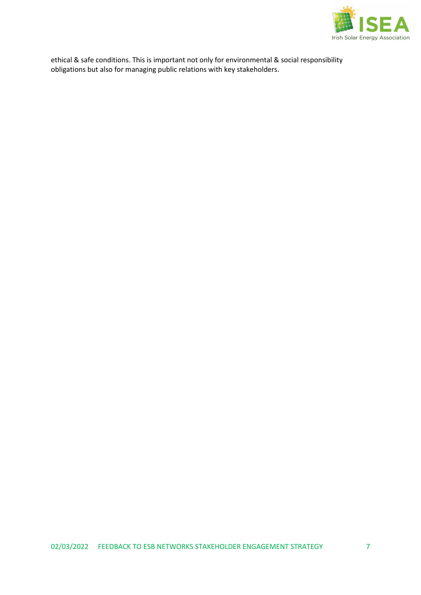

ethical & safe conditions. This is important not only for environmental & social responsibility obligations but also for managing public relations with key stakeholders.